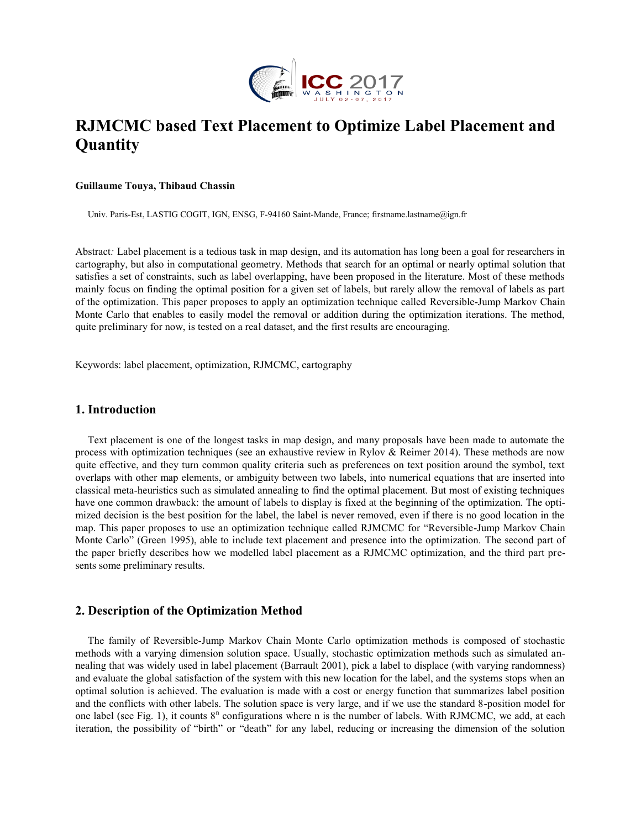

# **RJMCMC based Text Placement to Optimize Label Placement and Quantity**

#### **Guillaume Touya, Thibaud Chassin**

Univ. Paris-Est, LASTIG COGIT, IGN, ENSG, F-94160 Saint-Mande, France; firstname.lastname@ign.fr

Abstract*:* Label placement is a tedious task in map design, and its automation has long been a goal for researchers in cartography, but also in computational geometry. Methods that search for an optimal or nearly optimal solution that satisfies a set of constraints, such as label overlapping, have been proposed in the literature. Most of these methods mainly focus on finding the optimal position for a given set of labels, but rarely allow the removal of labels as part of the optimization. This paper proposes to apply an optimization technique called Reversible-Jump Markov Chain Monte Carlo that enables to easily model the removal or addition during the optimization iterations. The method, quite preliminary for now, is tested on a real dataset, and the first results are encouraging.

Keywords: label placement, optimization, RJMCMC, cartography

#### **1. Introduction**

Text placement is one of the longest tasks in map design, and many proposals have been made to automate the process with optimization techniques (see an exhaustive review in Rylov & Reimer 2014). These methods are now quite effective, and they turn common quality criteria such as preferences on text position around the symbol, text overlaps with other map elements, or ambiguity between two labels, into numerical equations that are inserted into classical meta-heuristics such as simulated annealing to find the optimal placement. But most of existing techniques have one common drawback: the amount of labels to display is fixed at the beginning of the optimization. The optimized decision is the best position for the label, the label is never removed, even if there is no good location in the map. This paper proposes to use an optimization technique called RJMCMC for "Reversible-Jump Markov Chain Monte Carlo" (Green 1995), able to include text placement and presence into the optimization. The second part of the paper briefly describes how we modelled label placement as a RJMCMC optimization, and the third part presents some preliminary results.

#### **2. Description of the Optimization Method**

The family of Reversible-Jump Markov Chain Monte Carlo optimization methods is composed of stochastic methods with a varying dimension solution space. Usually, stochastic optimization methods such as simulated annealing that was widely used in label placement (Barrault 2001), pick a label to displace (with varying randomness) and evaluate the global satisfaction of the system with this new location for the label, and the systems stops when an optimal solution is achieved. The evaluation is made with a cost or energy function that summarizes label position and the conflicts with other labels. The solution space is very large, and if we use the standard 8-position model for one label (see Fig. 1), it counts  $8<sup>n</sup>$  configurations where n is the number of labels. With RJMCMC, we add, at each iteration, the possibility of "birth" or "death" for any label, reducing or increasing the dimension of the solution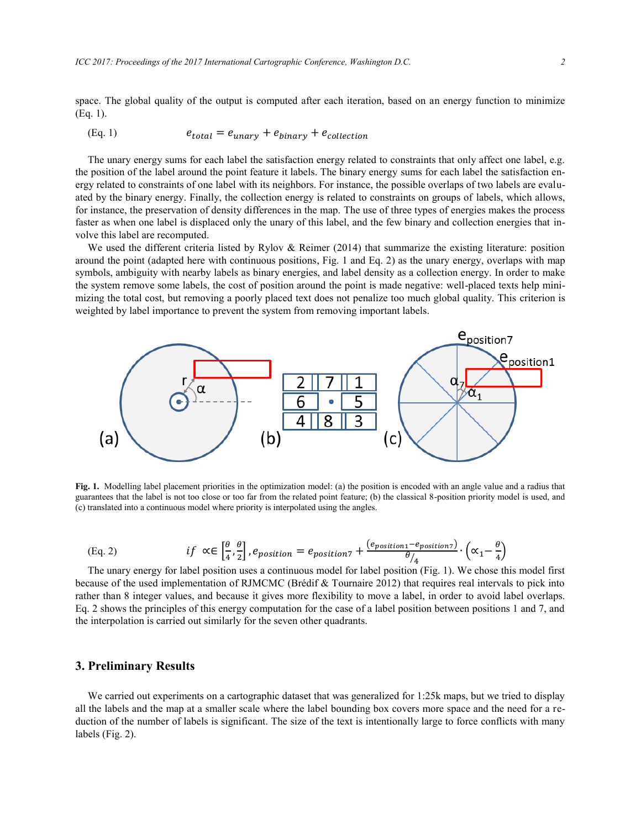space. The global quality of the output is computed after each iteration, based on an energy function to minimize (Eq. 1).

#### (Eq. 1)  $e_{total} = e_{unary} + e_{binary} + e_{collection}$

The unary energy sums for each label the satisfaction energy related to constraints that only affect one label, e.g. the position of the label around the point feature it labels. The binary energy sums for each label the satisfaction energy related to constraints of one label with its neighbors. For instance, the possible overlaps of two labels are evaluated by the binary energy. Finally, the collection energy is related to constraints on groups of labels, which allows, for instance, the preservation of density differences in the map. The use of three types of energies makes the process faster as when one label is displaced only the unary of this label, and the few binary and collection energies that involve this label are recomputed.

We used the different criteria listed by Rylov & Reimer (2014) that summarize the existing literature: position around the point (adapted here with continuous positions, Fig. 1 and Eq. 2) as the unary energy, overlaps with map symbols, ambiguity with nearby labels as binary energies, and label density as a collection energy. In order to make the system remove some labels, the cost of position around the point is made negative: well-placed texts help minimizing the total cost, but removing a poorly placed text does not penalize too much global quality. This criterion is weighted by label importance to prevent the system from removing important labels.



**Fig. 1.** Modelling label placement priorities in the optimization model: (a) the position is encoded with an angle value and a radius that guarantees that the label is not too close or too far from the related point feature; (b) the classical 8-position priority model is used, and (c) translated into a continuous model where priority is interpolated using the angles.

(Eq. 2) 
$$
if \ \alpha \in \left[\frac{\theta}{4}, \frac{\theta}{2}\right], e_{position} = e_{position7} + \frac{(e_{position7} - e_{position7})}{\theta/4} \cdot \left(\alpha_1 - \frac{\theta}{4}\right)
$$

The unary energy for label position uses a continuous model for label position (Fig. 1). We chose this model first because of the used implementation of RJMCMC (Brédif & Tournaire 2012) that requires real intervals to pick into rather than 8 integer values, and because it gives more flexibility to move a label, in order to avoid label overlaps. Eq. 2 shows the principles of this energy computation for the case of a label position between positions 1 and 7, and the interpolation is carried out similarly for the seven other quadrants.

#### **3. Preliminary Results**

We carried out experiments on a cartographic dataset that was generalized for 1:25k maps, but we tried to display all the labels and the map at a smaller scale where the label bounding box covers more space and the need for a reduction of the number of labels is significant. The size of the text is intentionally large to force conflicts with many labels (Fig. 2).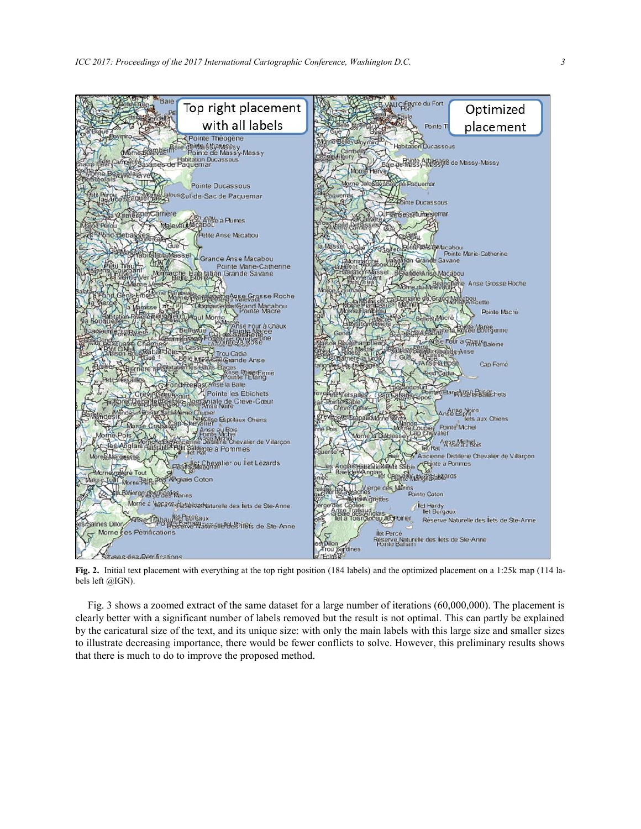

**Fig. 2.** Initial text placement with everything at the top right position (184 labels) and the optimized placement on a 1:25k map (114 labels left @IGN).

Fig. 3 shows a zoomed extract of the same dataset for a large number of iterations (60,000,000). The placement is clearly better with a significant number of labels removed but the result is not optimal. This can partly be explained by the caricatural size of the text, and its unique size: with only the main labels with this large size and smaller sizes to illustrate decreasing importance, there would be fewer conflicts to solve. However, this preliminary results shows that there is much to do to improve the proposed method.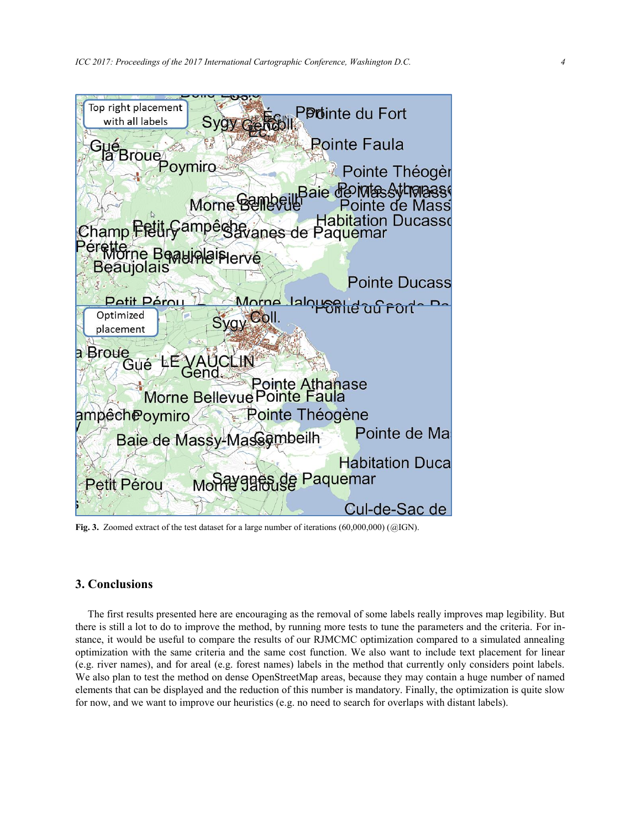

**Fig. 3.** Zoomed extract of the test dataset for a large number of iterations (60,000,000) (@IGN).

## **3. Conclusions**

The first results presented here are encouraging as the removal of some labels really improves map legibility. But there is still a lot to do to improve the method, by running more tests to tune the parameters and the criteria. For instance, it would be useful to compare the results of our RJMCMC optimization compared to a simulated annealing optimization with the same criteria and the same cost function. We also want to include text placement for linear (e.g. river names), and for areal (e.g. forest names) labels in the method that currently only considers point labels. We also plan to test the method on dense OpenStreetMap areas, because they may contain a huge number of named elements that can be displayed and the reduction of this number is mandatory. Finally, the optimization is quite slow for now, and we want to improve our heuristics (e.g. no need to search for overlaps with distant labels).